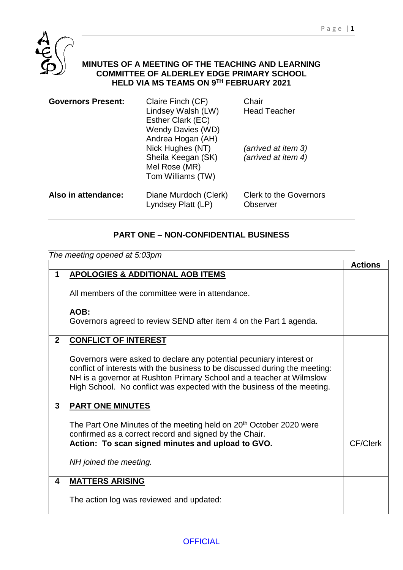

## **MINUTES OF A MEETING OF THE TEACHING AND LEARNING COMMITTEE OF ALDERLEY EDGE PRIMARY SCHOOL HELD VIA MS TEAMS ON 9 TH FEBRUARY 2021**

| <b>Governors Present:</b> | Claire Finch (CF)<br>Lindsey Walsh (LW)<br>Esther Clark (EC)<br><b>Wendy Davies (WD)</b><br>Andrea Hogan (AH) | Chair<br><b>Head Teacher</b>               |
|---------------------------|---------------------------------------------------------------------------------------------------------------|--------------------------------------------|
|                           | Nick Hughes (NT)<br>Sheila Keegan (SK)<br>Mel Rose (MR)<br>Tom Williams (TW)                                  | (arrived at item 3)<br>(arrived at item 4) |
| Also in attendance:       | Diane Murdoch (Clerk)<br>Lyndsey Platt (LP)                                                                   | <b>Clerk to the Governors</b><br>Observer  |

## **PART ONE – NON-CONFIDENTIAL BUSINESS**

|                | The meeting opened at 5:03pm                                                                                                                                                                                                                                                                          |                 |
|----------------|-------------------------------------------------------------------------------------------------------------------------------------------------------------------------------------------------------------------------------------------------------------------------------------------------------|-----------------|
|                |                                                                                                                                                                                                                                                                                                       | <b>Actions</b>  |
| $\mathbf 1$    | <b>APOLOGIES &amp; ADDITIONAL AOB ITEMS</b>                                                                                                                                                                                                                                                           |                 |
|                | All members of the committee were in attendance.                                                                                                                                                                                                                                                      |                 |
|                | AOB:<br>Governors agreed to review SEND after item 4 on the Part 1 agenda.                                                                                                                                                                                                                            |                 |
| $\overline{2}$ | <b>CONFLICT OF INTEREST</b>                                                                                                                                                                                                                                                                           |                 |
|                | Governors were asked to declare any potential pecuniary interest or<br>conflict of interests with the business to be discussed during the meeting:<br>NH is a governor at Rushton Primary School and a teacher at Wilmslow<br>High School. No conflict was expected with the business of the meeting. |                 |
| 3              | <b>PART ONE MINUTES</b>                                                                                                                                                                                                                                                                               |                 |
|                | The Part One Minutes of the meeting held on 20 <sup>th</sup> October 2020 were<br>confirmed as a correct record and signed by the Chair.<br>Action: To scan signed minutes and upload to GVO.                                                                                                         | <b>CF/Clerk</b> |
|                | NH joined the meeting.                                                                                                                                                                                                                                                                                |                 |
| 4              | <b>MATTERS ARISING</b>                                                                                                                                                                                                                                                                                |                 |
|                | The action log was reviewed and updated:                                                                                                                                                                                                                                                              |                 |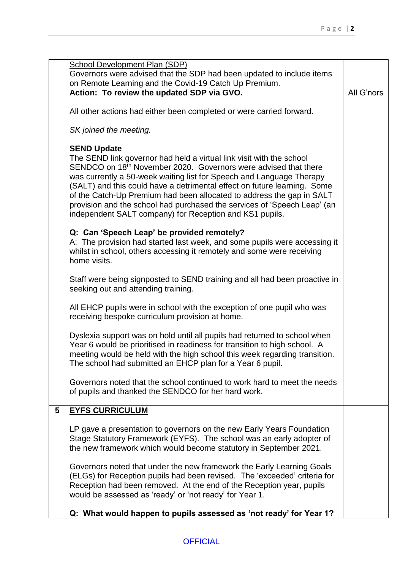|   | School Development Plan (SDP)                                                                                                                           |            |
|---|---------------------------------------------------------------------------------------------------------------------------------------------------------|------------|
|   | Governors were advised that the SDP had been updated to include items                                                                                   |            |
|   | on Remote Learning and the Covid-19 Catch Up Premium.                                                                                                   |            |
|   | Action: To review the updated SDP via GVO.                                                                                                              | All G'nors |
|   | All other actions had either been completed or were carried forward.                                                                                    |            |
|   | SK joined the meeting.                                                                                                                                  |            |
|   | <b>SEND Update</b>                                                                                                                                      |            |
|   | The SEND link governor had held a virtual link visit with the school                                                                                    |            |
|   | SENDCO on 18th November 2020. Governors were advised that there<br>was currently a 50-week waiting list for Speech and Language Therapy                 |            |
|   | (SALT) and this could have a detrimental effect on future learning. Some                                                                                |            |
|   | of the Catch-Up Premium had been allocated to address the gap in SALT                                                                                   |            |
|   | provision and the school had purchased the services of 'Speech Leap' (an                                                                                |            |
|   | independent SALT company) for Reception and KS1 pupils.                                                                                                 |            |
|   | Q: Can 'Speech Leap' be provided remotely?                                                                                                              |            |
|   | A: The provision had started last week, and some pupils were accessing it                                                                               |            |
|   | whilst in school, others accessing it remotely and some were receiving                                                                                  |            |
|   | home visits.                                                                                                                                            |            |
|   | Staff were being signposted to SEND training and all had been proactive in                                                                              |            |
|   | seeking out and attending training.                                                                                                                     |            |
|   | All EHCP pupils were in school with the exception of one pupil who was                                                                                  |            |
|   | receiving bespoke curriculum provision at home.                                                                                                         |            |
|   |                                                                                                                                                         |            |
|   | Dyslexia support was on hold until all pupils had returned to school when                                                                               |            |
|   | Year 6 would be prioritised in readiness for transition to high school. A<br>meeting would be held with the high school this week regarding transition. |            |
|   | The school had submitted an EHCP plan for a Year 6 pupil.                                                                                               |            |
|   |                                                                                                                                                         |            |
|   | Governors noted that the school continued to work hard to meet the needs<br>of pupils and thanked the SENDCO for her hard work.                         |            |
|   |                                                                                                                                                         |            |
| 5 | <b>EYFS CURRICULUM</b>                                                                                                                                  |            |
|   |                                                                                                                                                         |            |
|   | LP gave a presentation to governors on the new Early Years Foundation<br>Stage Statutory Framework (EYFS). The school was an early adopter of           |            |
|   | the new framework which would become statutory in September 2021.                                                                                       |            |
|   |                                                                                                                                                         |            |
|   | Governors noted that under the new framework the Early Learning Goals<br>(ELGs) for Reception pupils had been revised. The 'exceeded' criteria for      |            |
|   | Reception had been removed. At the end of the Reception year, pupils                                                                                    |            |
|   | would be assessed as 'ready' or 'not ready' for Year 1.                                                                                                 |            |
|   |                                                                                                                                                         |            |
|   | Q: What would happen to pupils assessed as 'not ready' for Year 1?                                                                                      |            |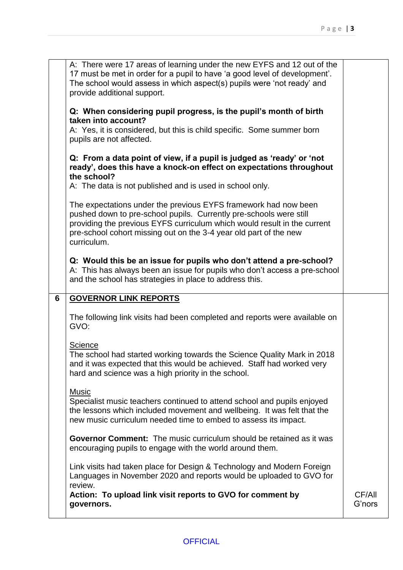|   | A: There were 17 areas of learning under the new EYFS and 12 out of the<br>17 must be met in order for a pupil to have 'a good level of development'.<br>The school would assess in which aspect(s) pupils were 'not ready' and<br>provide additional support.                                                                                                    |                  |
|---|-------------------------------------------------------------------------------------------------------------------------------------------------------------------------------------------------------------------------------------------------------------------------------------------------------------------------------------------------------------------|------------------|
|   | Q: When considering pupil progress, is the pupil's month of birth<br>taken into account?<br>A: Yes, it is considered, but this is child specific. Some summer born                                                                                                                                                                                                |                  |
|   | pupils are not affected.<br>Q: From a data point of view, if a pupil is judged as 'ready' or 'not<br>ready', does this have a knock-on effect on expectations throughout<br>the school?                                                                                                                                                                           |                  |
|   | A: The data is not published and is used in school only.<br>The expectations under the previous EYFS framework had now been<br>pushed down to pre-school pupils. Currently pre-schools were still<br>providing the previous EYFS curriculum which would result in the current<br>pre-school cohort missing out on the 3-4 year old part of the new<br>curriculum. |                  |
|   | Q: Would this be an issue for pupils who don't attend a pre-school?<br>A: This has always been an issue for pupils who don't access a pre-school<br>and the school has strategies in place to address this.                                                                                                                                                       |                  |
| 6 | <b>GOVERNOR LINK REPORTS</b>                                                                                                                                                                                                                                                                                                                                      |                  |
|   | The following link visits had been completed and reports were available on<br>GVO:                                                                                                                                                                                                                                                                                |                  |
|   | Science<br>The school had started working towards the Science Quality Mark in 2018<br>and it was expected that this would be achieved. Staff had worked very<br>hard and science was a high priority in the school.                                                                                                                                               |                  |
|   | <b>Music</b><br>Specialist music teachers continued to attend school and pupils enjoyed<br>the lessons which included movement and wellbeing. It was felt that the<br>new music curriculum needed time to embed to assess its impact.                                                                                                                             |                  |
|   | <b>Governor Comment:</b> The music curriculum should be retained as it was<br>encouraging pupils to engage with the world around them.                                                                                                                                                                                                                            |                  |
|   | Link visits had taken place for Design & Technology and Modern Foreign<br>Languages in November 2020 and reports would be uploaded to GVO for<br>review.                                                                                                                                                                                                          |                  |
|   | Action: To upload link visit reports to GVO for comment by<br>governors.                                                                                                                                                                                                                                                                                          | CF/All<br>G'nors |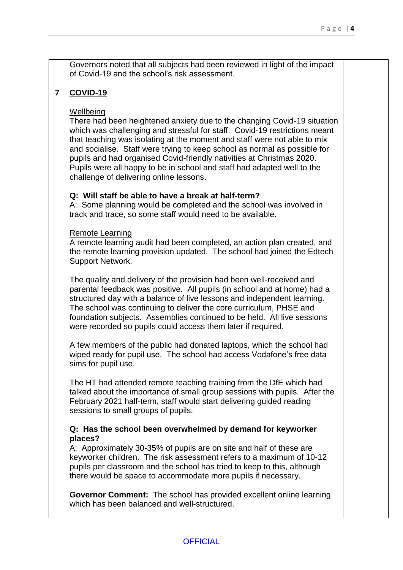|                         | Governors noted that all subjects had been reviewed in light of the impact<br>of Covid-19 and the school's risk assessment.                                                                                                                                                                                                                                                                                                                                                                                                 |  |
|-------------------------|-----------------------------------------------------------------------------------------------------------------------------------------------------------------------------------------------------------------------------------------------------------------------------------------------------------------------------------------------------------------------------------------------------------------------------------------------------------------------------------------------------------------------------|--|
| $\overline{\mathbf{r}}$ | <b>COVID-19</b>                                                                                                                                                                                                                                                                                                                                                                                                                                                                                                             |  |
|                         | Wellbeing<br>There had been heightened anxiety due to the changing Covid-19 situation<br>which was challenging and stressful for staff. Covid-19 restrictions meant<br>that teaching was isolating at the moment and staff were not able to mix<br>and socialise. Staff were trying to keep school as normal as possible for<br>pupils and had organised Covid-friendly nativities at Christmas 2020.<br>Pupils were all happy to be in school and staff had adapted well to the<br>challenge of delivering online lessons. |  |
|                         | Q: Will staff be able to have a break at half-term?<br>A: Some planning would be completed and the school was involved in<br>track and trace, so some staff would need to be available.                                                                                                                                                                                                                                                                                                                                     |  |
|                         | Remote Learning<br>A remote learning audit had been completed, an action plan created, and<br>the remote learning provision updated. The school had joined the Edtech<br>Support Network.                                                                                                                                                                                                                                                                                                                                   |  |
|                         | The quality and delivery of the provision had been well-received and<br>parental feedback was positive. All pupils (in school and at home) had a<br>structured day with a balance of live lessons and independent learning.<br>The school was continuing to deliver the core curriculum, PHSE and<br>foundation subjects. Assemblies continued to be held. All live sessions<br>were recorded so pupils could access them later if required.                                                                                |  |
|                         | A few members of the public had donated laptops, which the school had<br>wiped ready for pupil use. The school had access Vodafone's free data<br>sims for pupil use.                                                                                                                                                                                                                                                                                                                                                       |  |
|                         | The HT had attended remote teaching training from the DfE which had<br>talked about the importance of small group sessions with pupils. After the<br>February 2021 half-term, staff would start delivering guided reading<br>sessions to small groups of pupils.                                                                                                                                                                                                                                                            |  |
|                         | Q: Has the school been overwhelmed by demand for keyworker<br>places?<br>A: Approximately 30-35% of pupils are on site and half of these are<br>keyworker children. The risk assessment refers to a maximum of 10-12<br>pupils per classroom and the school has tried to keep to this, although<br>there would be space to accommodate more pupils if necessary.                                                                                                                                                            |  |
|                         | <b>Governor Comment:</b> The school has provided excellent online learning<br>which has been balanced and well-structured.                                                                                                                                                                                                                                                                                                                                                                                                  |  |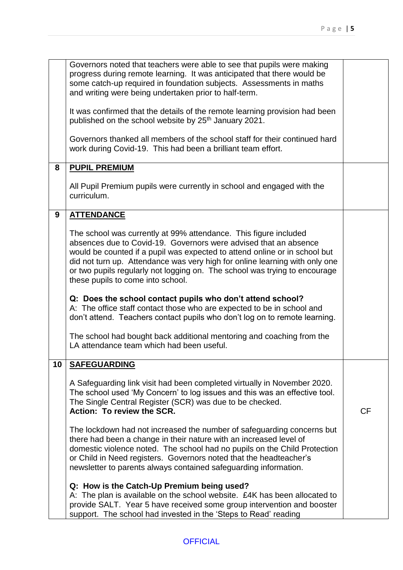|   | Governors noted that teachers were able to see that pupils were making                                                                              |           |
|---|-----------------------------------------------------------------------------------------------------------------------------------------------------|-----------|
|   | progress during remote learning. It was anticipated that there would be                                                                             |           |
|   | some catch-up required in foundation subjects. Assessments in maths                                                                                 |           |
|   | and writing were being undertaken prior to half-term.                                                                                               |           |
|   | It was confirmed that the details of the remote learning provision had been                                                                         |           |
|   | published on the school website by 25 <sup>th</sup> January 2021.                                                                                   |           |
|   |                                                                                                                                                     |           |
|   | Governors thanked all members of the school staff for their continued hard                                                                          |           |
|   | work during Covid-19. This had been a brilliant team effort.                                                                                        |           |
|   |                                                                                                                                                     |           |
| 8 | <b>PUPIL PREMIUM</b>                                                                                                                                |           |
|   |                                                                                                                                                     |           |
|   | All Pupil Premium pupils were currently in school and engaged with the                                                                              |           |
|   | curriculum.                                                                                                                                         |           |
|   |                                                                                                                                                     |           |
| 9 | <b>ATTENDANCE</b>                                                                                                                                   |           |
|   |                                                                                                                                                     |           |
|   | The school was currently at 99% attendance. This figure included                                                                                    |           |
|   | absences due to Covid-19. Governors were advised that an absence                                                                                    |           |
|   | would be counted if a pupil was expected to attend online or in school but                                                                          |           |
|   | did not turn up. Attendance was very high for online learning with only one                                                                         |           |
|   | or two pupils regularly not logging on. The school was trying to encourage                                                                          |           |
|   | these pupils to come into school.                                                                                                                   |           |
|   |                                                                                                                                                     |           |
|   | Q: Does the school contact pupils who don't attend school?                                                                                          |           |
|   | A: The office staff contact those who are expected to be in school and                                                                              |           |
|   | don't attend. Teachers contact pupils who don't log on to remote learning.                                                                          |           |
|   |                                                                                                                                                     |           |
|   | The school had bought back additional mentoring and coaching from the                                                                               |           |
|   | LA attendance team which had been useful.                                                                                                           |           |
|   |                                                                                                                                                     |           |
|   | 10   SAFEGUARDING                                                                                                                                   |           |
|   |                                                                                                                                                     |           |
|   | A Safeguarding link visit had been completed virtually in November 2020.                                                                            |           |
|   | The school used 'My Concern' to log issues and this was an effective tool.                                                                          |           |
|   | The Single Central Register (SCR) was due to be checked.                                                                                            |           |
|   | Action: To review the SCR.                                                                                                                          | <b>CF</b> |
|   |                                                                                                                                                     |           |
|   | The lockdown had not increased the number of safeguarding concerns but                                                                              |           |
|   | there had been a change in their nature with an increased level of                                                                                  |           |
|   | domestic violence noted. The school had no pupils on the Child Protection                                                                           |           |
|   | or Child in Need registers. Governors noted that the headteacher's                                                                                  |           |
|   | newsletter to parents always contained safeguarding information.                                                                                    |           |
|   |                                                                                                                                                     |           |
|   | Q: How is the Catch-Up Premium being used?                                                                                                          |           |
|   | A: The plan is available on the school website. £4K has been allocated to<br>provide SALT. Year 5 have received some group intervention and booster |           |
|   |                                                                                                                                                     |           |
|   | support. The school had invested in the 'Steps to Read' reading                                                                                     |           |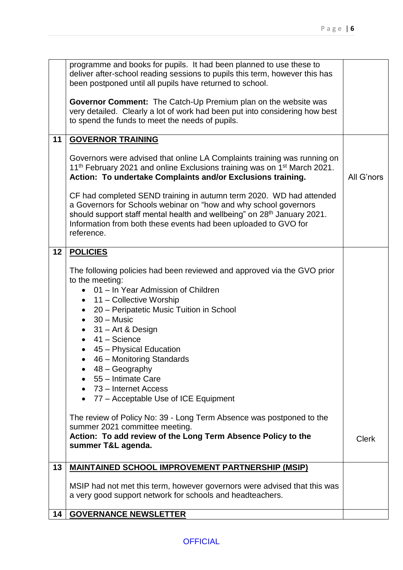|    | programme and books for pupils. It had been planned to use these to<br>deliver after-school reading sessions to pupils this term, however this has                                                                                                                                                                                                                                                                                                                                                                                                                                                                                                                                                    |              |
|----|-------------------------------------------------------------------------------------------------------------------------------------------------------------------------------------------------------------------------------------------------------------------------------------------------------------------------------------------------------------------------------------------------------------------------------------------------------------------------------------------------------------------------------------------------------------------------------------------------------------------------------------------------------------------------------------------------------|--------------|
|    | been postponed until all pupils have returned to school.                                                                                                                                                                                                                                                                                                                                                                                                                                                                                                                                                                                                                                              |              |
|    | Governor Comment: The Catch-Up Premium plan on the website was<br>very detailed. Clearly a lot of work had been put into considering how best<br>to spend the funds to meet the needs of pupils.                                                                                                                                                                                                                                                                                                                                                                                                                                                                                                      |              |
| 11 | <b>GOVERNOR TRAINING</b>                                                                                                                                                                                                                                                                                                                                                                                                                                                                                                                                                                                                                                                                              |              |
|    | Governors were advised that online LA Complaints training was running on<br>11 <sup>th</sup> February 2021 and online Exclusions training was on 1 <sup>st</sup> March 2021.<br>Action: To undertake Complaints and/or Exclusions training.                                                                                                                                                                                                                                                                                                                                                                                                                                                           | All G'nors   |
|    | CF had completed SEND training in autumn term 2020. WD had attended<br>a Governors for Schools webinar on "how and why school governors<br>should support staff mental health and wellbeing" on 28 <sup>th</sup> January 2021.<br>Information from both these events had been uploaded to GVO for<br>reference.                                                                                                                                                                                                                                                                                                                                                                                       |              |
| 12 | <b>POLICIES</b>                                                                                                                                                                                                                                                                                                                                                                                                                                                                                                                                                                                                                                                                                       |              |
|    | The following policies had been reviewed and approved via the GVO prior<br>to the meeting:<br>• 01 - In Year Admission of Children<br>11 – Collective Worship<br>$\bullet$<br>20 – Peripatetic Music Tuition in School<br>$\bullet$<br>$30 - Music$<br>$\bullet$<br>$31 -$ Art & Design<br>$\bullet$<br>41 – Science<br>$\bullet$<br>45 – Physical Education<br>$\bullet$<br>46 - Monitoring Standards<br>48 – Geography<br>55 - Intimate Care<br>73 – Internet Access<br>77 – Acceptable Use of ICE Equipment<br>$\bullet$<br>The review of Policy No: 39 - Long Term Absence was postponed to the<br>summer 2021 committee meeting.<br>Action: To add review of the Long Term Absence Policy to the | <b>Clerk</b> |
|    | summer T&L agenda.                                                                                                                                                                                                                                                                                                                                                                                                                                                                                                                                                                                                                                                                                    |              |
| 13 | <b>MAINTAINED SCHOOL IMPROVEMENT PARTNERSHIP (MSIP)</b>                                                                                                                                                                                                                                                                                                                                                                                                                                                                                                                                                                                                                                               |              |
|    | MSIP had not met this term, however governors were advised that this was<br>a very good support network for schools and headteachers.                                                                                                                                                                                                                                                                                                                                                                                                                                                                                                                                                                 |              |
| 14 | <b>GOVERNANCE NEWSLETTER</b>                                                                                                                                                                                                                                                                                                                                                                                                                                                                                                                                                                                                                                                                          |              |